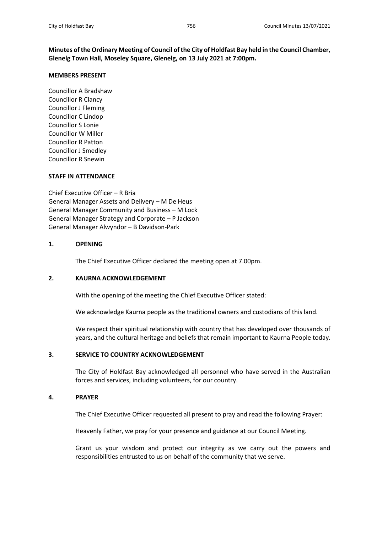**Minutes of the Ordinary Meeting of Council of the City of Holdfast Bay held in the Council Chamber, Glenelg Town Hall, Moseley Square, Glenelg, on 13 July 2021 at 7:00pm.**

### **MEMBERS PRESENT**

Councillor A Bradshaw Councillor R Clancy Councillor J Fleming Councillor C Lindop Councillor S Lonie Councillor W Miller Councillor R Patton Councillor J Smedley Councillor R Snewin

## **STAFF IN ATTENDANCE**

Chief Executive Officer – R Bria General Manager Assets and Delivery – M De Heus General Manager Community and Business – M Lock General Manager Strategy and Corporate – P Jackson General Manager Alwyndor – B Davidson-Park

## **1. OPENING**

The Chief Executive Officer declared the meeting open at 7.00pm.

### **2. KAURNA ACKNOWLEDGEMENT**

With the opening of the meeting the Chief Executive Officer stated:

We acknowledge Kaurna people as the traditional owners and custodians of this land.

We respect their spiritual relationship with country that has developed over thousands of years, and the cultural heritage and beliefs that remain important to Kaurna People today.

## **3. SERVICE TO COUNTRY ACKNOWLEDGEMENT**

The City of Holdfast Bay acknowledged all personnel who have served in the Australian forces and services, including volunteers, for our country.

## **4. PRAYER**

The Chief Executive Officer requested all present to pray and read the following Prayer:

Heavenly Father, we pray for your presence and guidance at our Council Meeting.

Grant us your wisdom and protect our integrity as we carry out the powers and responsibilities entrusted to us on behalf of the community that we serve.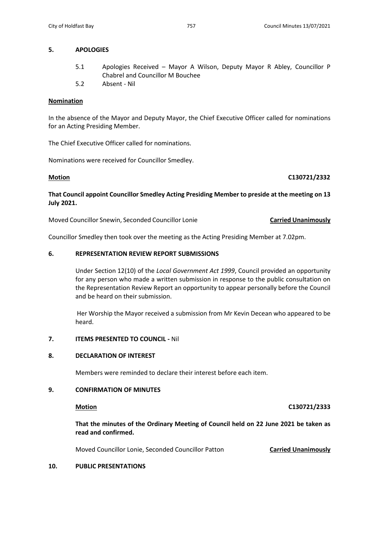## **5. APOLOGIES**

- 5.1 Apologies Received Mayor A Wilson, Deputy Mayor R Abley, Councillor P Chabrel and Councillor M Bouchee
- 5.2 Absent Nil

## **Nomination**

In the absence of the Mayor and Deputy Mayor, the Chief Executive Officer called for nominations for an Acting Presiding Member.

The Chief Executive Officer called for nominations.

Nominations were received for Councillor Smedley.

## **Motion C130721/2332**

**That Council appoint Councillor Smedley Acting Presiding Member to preside at the meeting on 13 July 2021.**

Moved Councillor Snewin, Seconded Councillor Lonie **Carried Unanimously** 

Councillor Smedley then took over the meeting as the Acting Presiding Member at 7.02pm.

## **6. REPRESENTATION REVIEW REPORT SUBMISSIONS**

Under Section 12(10) of the *Local Government Act 1999*, Council provided an opportunity for any person who made a written submission in response to the public consultation on the Representation Review Report an opportunity to appear personally before the Council and be heard on their submission.

 Her Worship the Mayor received a submission from Mr Kevin Decean who appeared to be heard.

## **7. ITEMS PRESENTED TO COUNCIL -** Nil

## **8. DECLARATION OF INTEREST**

Members were reminded to declare their interest before each item.

## **9. CONFIRMATION OF MINUTES**

**Motion C130721/2333**

**That the minutes of the Ordinary Meeting of Council held on 22 June 2021 be taken as read and confirmed.**

Moved Councillor Lonie, Seconded Councillor Patton **Carried Unanimously**

## **10. PUBLIC PRESENTATIONS**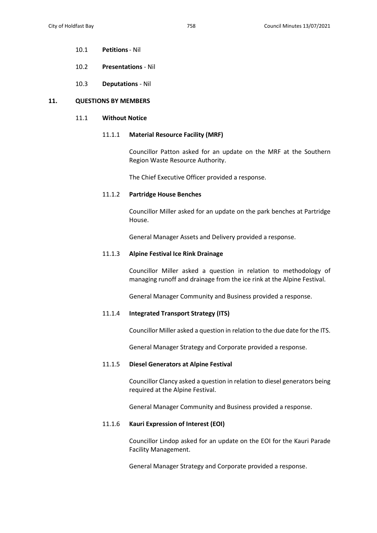- 10.1 **Petitions** Nil
- 10.2 **Presentations** Nil
- 10.3 **Deputations** Nil

## **11. QUESTIONS BY MEMBERS**

## 11.1 **Without Notice**

## 11.1.1 **Material Resource Facility (MRF)**

Councillor Patton asked for an update on the MRF at the Southern Region Waste Resource Authority.

The Chief Executive Officer provided a response.

### 11.1.2 **Partridge House Benches**

Councillor Miller asked for an update on the park benches at Partridge House.

General Manager Assets and Delivery provided a response.

### 11.1.3 **Alpine Festival Ice Rink Drainage**

Councillor Miller asked a question in relation to methodology of managing runoff and drainage from the ice rink at the Alpine Festival.

General Manager Community and Business provided a response.

### 11.1.4 **Integrated Transport Strategy (ITS)**

Councillor Miller asked a question in relation to the due date for the ITS.

General Manager Strategy and Corporate provided a response.

### 11.1.5 **Diesel Generators at Alpine Festival**

Councillor Clancy asked a question in relation to diesel generators being required at the Alpine Festival.

General Manager Community and Business provided a response.

## 11.1.6 **Kauri Expression of Interest (EOI)**

Councillor Lindop asked for an update on the EOI for the Kauri Parade Facility Management.

General Manager Strategy and Corporate provided a response.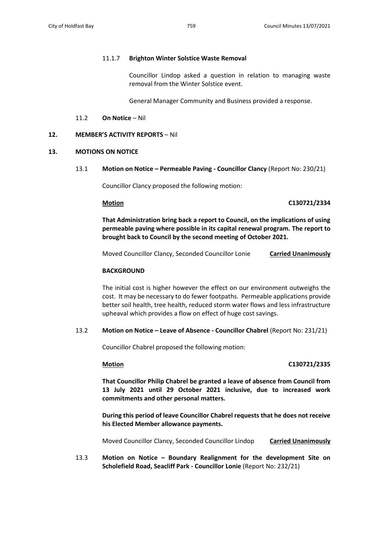## 11.1.7 **Brighton Winter Solstice Waste Removal**

Councillor Lindop asked a question in relation to managing waste removal from the Winter Solstice event.

General Manager Community and Business provided a response.

## 11.2 **On Notice** – Nil

## **12. MEMBER'S ACTIVITY REPORTS** – Nil

## **13. MOTIONS ON NOTICE**

13.1 **Motion on Notice – Permeable Paving - Councillor Clancy** (Report No: 230/21)

Councillor Clancy proposed the following motion:

## **Motion C130721/2334**

**That Administration bring back a report to Council, on the implications of using permeable paving where possible in its capital renewal program. The report to brought back to Council by the second meeting of October 2021.**

Moved Councillor Clancy, Seconded Councillor Lonie **Carried Unanimously**

## **BACKGROUND**

The initial cost is higher however the effect on our environment outweighs the cost. It may be necessary to do fewer footpaths. Permeable applications provide better soil health, tree health, reduced storm water flows and less infrastructure upheaval which provides a flow on effect of huge cost savings.

## 13.2 **Motion on Notice – Leave of Absence - Councillor Chabrel** (Report No: 231/21)

Councillor Chabrel proposed the following motion:

## **Motion C130721/2335**

**That Councillor Philip Chabrel be granted a leave of absence from Council from 13 July 2021 until 29 October 2021 inclusive, due to increased work commitments and other personal matters.** 

**During this period of leave Councillor Chabrel requests that he does not receive his Elected Member allowance payments.**

Moved Councillor Clancy, Seconded Councillor Lindop **Carried Unanimously**

13.3 **Motion on Notice – Boundary Realignment for the development Site on Scholefield Road, Seacliff Park - Councillor Lonie** (Report No: 232/21)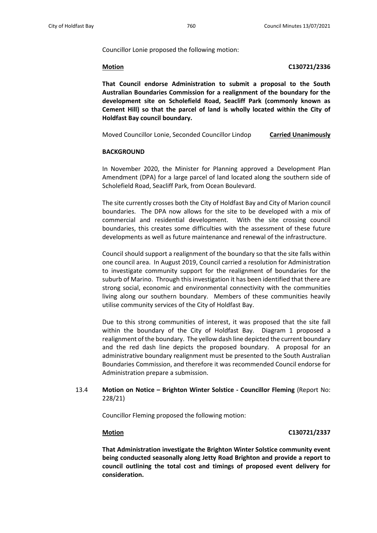Councillor Lonie proposed the following motion:

### **Motion C130721/2336**

**That Council endorse Administration to submit a proposal to the South Australian Boundaries Commission for a realignment of the boundary for the development site on Scholefield Road, Seacliff Park (commonly known as Cement Hill) so that the parcel of land is wholly located within the City of Holdfast Bay council boundary.**

Moved Councillor Lonie, Seconded Councillor Lindop **Carried Unanimously**

### **BACKGROUND**

In November 2020, the Minister for Planning approved a Development Plan Amendment (DPA) for a large parcel of land located along the southern side of Scholefield Road, Seacliff Park, from Ocean Boulevard.

The site currently crosses both the City of Holdfast Bay and City of Marion council boundaries. The DPA now allows for the site to be developed with a mix of commercial and residential development. With the site crossing council boundaries, this creates some difficulties with the assessment of these future developments as well as future maintenance and renewal of the infrastructure.

Council should support a realignment of the boundary so that the site falls within one council area. In August 2019, Council carried a resolution for Administration to investigate community support for the realignment of boundaries for the suburb of Marino. Through this investigation it has been identified that there are strong social, economic and environmental connectivity with the communities living along our southern boundary. Members of these communities heavily utilise community services of the City of Holdfast Bay.

Due to this strong communities of interest, it was proposed that the site fall within the boundary of the City of Holdfast Bay. Diagram 1 proposed a realignment of the boundary. The yellow dash line depicted the current boundary and the red dash line depicts the proposed boundary. A proposal for an administrative boundary realignment must be presented to the South Australian Boundaries Commission, and therefore it was recommended Council endorse for Administration prepare a submission.

## 13.4 **Motion on Notice – Brighton Winter Solstice - Councillor Fleming** (Report No: 228/21)

Councillor Fleming proposed the following motion:

### **Motion C130721/2337**

**That Administration investigate the Brighton Winter Solstice community event being conducted seasonally along Jetty Road Brighton and provide a report to council outlining the total cost and timings of proposed event delivery for consideration.**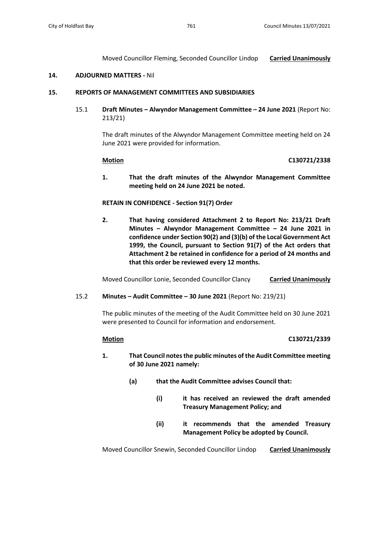Moved Councillor Fleming, Seconded Councillor Lindop **Carried Unanimously**

## **14. ADJOURNED MATTERS -** Nil

## **15. REPORTS OF MANAGEMENT COMMITTEES AND SUBSIDIARIES**

15.1 **Draft Minutes – Alwyndor Management Committee – 24 June 2021** (Report No: 213/21)

> The draft minutes of the Alwyndor Management Committee meeting held on 24 June 2021 were provided for information.

## **Motion C130721/2338**

**1. That the draft minutes of the Alwyndor Management Committee meeting held on 24 June 2021 be noted.** 

## **RETAIN IN CONFIDENCE - Section 91(7) Order**

**2. That having considered Attachment 2 to Report No: 213/21 Draft Minutes – Alwyndor Management Committee – 24 June 2021 in confidence under Section 90(2) and (3)(b) of the Local Government Act 1999, the Council, pursuant to Section 91(7) of the Act orders that Attachment 2 be retained in confidence for a period of 24 months and that this order be reviewed every 12 months.**

Moved Councillor Lonie, Seconded Councillor Clancy **Carried Unanimously**

## 15.2 **Minutes – Audit Committee – 30 June 2021** (Report No: 219/21)

The public minutes of the meeting of the Audit Committee held on 30 June 2021 were presented to Council for information and endorsement.

## **Motion C130721/2339**

- **1. That Council notes the public minutes of the Audit Committee meeting of 30 June 2021 namely:**
	- **(a) that the Audit Committee advises Council that:**
		- **(i) it has received an reviewed the draft amended Treasury Management Policy; and**
		- **(ii) it recommends that the amended Treasury Management Policy be adopted by Council.**

Moved Councillor Snewin, Seconded Councillor Lindop **Carried Unanimously**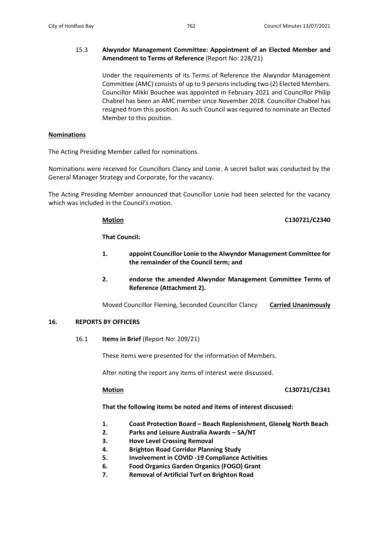## 15.3 **Alwyndor Management Committee: Appointment of an Elected Member and Amendment to Terms of Reference** (Report No: 228/21)

Under the requirements of its Terms of Reference the Alwyndor Management Committee (AMC) consists of up to 9 persons including two (2) Elected Members. Councillor Mikki Bouchee was appointed in February 2021 and Councillor Philip Chabrel has been an AMC member since November 2018. Councillor Chabrel has resigned from this position. As such Council was required to nominate an Elected Member to this position.

## **Nominations**

The Acting Presiding Member called for nominations.

Nominations were received for Councillors Clancy and Lonie. A secret ballot was conducted by the General Manager Strategy and Corporate, for the vacancy.

The Acting Presiding Member announced that Councillor Lonie had been selected for the vacancy which was included in the Council's motion.

**Motion C130721/C2340**

**That Council:**

- **1. appoint Councillor Lonie to the Alwyndor Management Committee for the remainder of the Council term; and**
- **2. endorse the amended Alwyndor Management Committee Terms of Reference (Attachment 2).**

Moved Councillor Fleming, Seconded Councillor Clancy **Carried Unanimously**

## **16. REPORTS BY OFFICERS**

16.1 **Items in Brief** (Report No: 209/21)

These items were presented for the information of Members.

After noting the report any items of interest were discussed.

## **Motion C130721/C2341**

**That the following items be noted and items of interest discussed:** 

- **1. Coast Protection Board – Beach Replenishment, Glenelg North Beach**
- **2. Parks and Leisure Australia Awards – SA/NT**
- **3. Hove Level Crossing Removal**
- **4. Brighton Road Corridor Planning Study**
- **5. Involvement in COVID -19 Compliance Activities**
- **6. Food Organics Garden Organics (FOGO) Grant**
- **7. Removal of Artificial Turf on Brighton Road**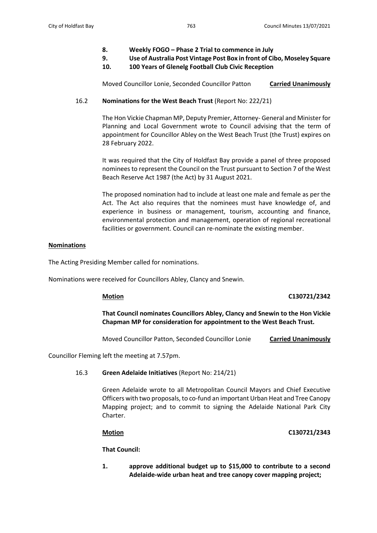- **8. Weekly FOGO – Phase 2 Trial to commence in July**
- **9. Use of Australia Post Vintage Post Box in front of Cibo, Moseley Square**
- **10. 100 Years of Glenelg Football Club Civic Reception**

Moved Councillor Lonie, Seconded Councillor Patton **Carried Unanimously**

## 16.2 **Nominations for the West Beach Trust** (Report No: 222/21)

The Hon Vickie Chapman MP, Deputy Premier, Attorney- General and Minister for Planning and Local Government wrote to Council advising that the term of appointment for Councillor Abley on the West Beach Trust (the Trust) expires on 28 February 2022.

It was required that the City of Holdfast Bay provide a panel of three proposed nominees to represent the Council on the Trust pursuant to Section 7 of the West Beach Reserve Act 1987 (the Act) by 31 August 2021.

The proposed nomination had to include at least one male and female as per the Act. The Act also requires that the nominees must have knowledge of, and experience in business or management, tourism, accounting and finance, environmental protection and management, operation of regional recreational facilities or government. Council can re-nominate the existing member.

## **Nominations**

The Acting Presiding Member called for nominations.

Nominations were received for Councillors Abley, Clancy and Snewin.

## **Motion C130721/2342**

**That Council nominates Councillors Abley, Clancy and Snewin to the Hon Vickie Chapman MP for consideration for appointment to the West Beach Trust.**

Moved Councillor Patton, Seconded Councillor Lonie **Carried Unanimously**

Councillor Fleming left the meeting at 7.57pm.

## 16.3 **Green Adelaide Initiatives** (Report No: 214/21)

Green Adelaide wrote to all Metropolitan Council Mayors and Chief Executive Officers with two proposals, to co-fund an important Urban Heat and Tree Canopy Mapping project; and to commit to signing the Adelaide National Park City Charter.

## **Motion C130721/2343**

**That Council:**

**1. approve additional budget up to \$15,000 to contribute to a second Adelaide-wide urban heat and tree canopy cover mapping project;**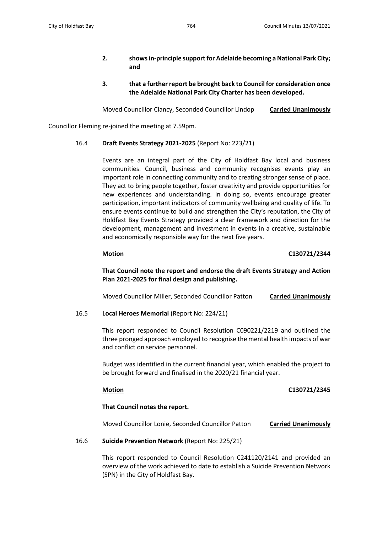## **2. showsin-principle support for Adelaide becoming a National Park City; and**

**3. that a further report be brought back to Council for consideration once the Adelaide National Park City Charter has been developed.**

Moved Councillor Clancy, Seconded Councillor Lindop **Carried Unanimously**

Councillor Fleming re-joined the meeting at 7.59pm.

## 16.4 **Draft Events Strategy 2021-2025** (Report No: 223/21)

Events are an integral part of the City of Holdfast Bay local and business communities. Council, business and community recognises events play an important role in connecting community and to creating stronger sense of place. They act to bring people together, foster creativity and provide opportunities for new experiences and understanding. In doing so, events encourage greater participation, important indicators of community wellbeing and quality of life. To ensure events continue to build and strengthen the City's reputation, the City of Holdfast Bay Events Strategy provided a clear framework and direction for the development, management and investment in events in a creative, sustainable and economically responsible way for the next five years.

## **Motion C130721/2344**

**That Council note the report and endorse the draft Events Strategy and Action Plan 2021-2025 for final design and publishing.**

Moved Councillor Miller, Seconded Councillor Patton **Carried Unanimously**

## 16.5 **Local Heroes Memorial** (Report No: 224/21)

This report responded to Council Resolution C090221/2219 and outlined the three pronged approach employed to recognise the mental health impacts of war and conflict on service personnel.

Budget was identified in the current financial year, which enabled the project to be brought forward and finalised in the 2020/21 financial year.

## **Motion C130721/2345**

# **That Council notes the report.**

Moved Councillor Lonie, Seconded Councillor Patton **Carried Unanimously**

## 16.6 **Suicide Prevention Network** (Report No: 225/21)

This report responded to Council Resolution C241120/2141 and provided an overview of the work achieved to date to establish a Suicide Prevention Network (SPN) in the City of Holdfast Bay.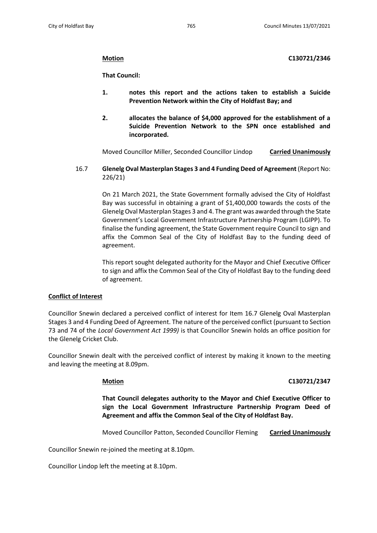**Motion C130721/2346**

**That Council:**

- **1. notes this report and the actions taken to establish a Suicide Prevention Network within the City of Holdfast Bay; and**
- **2. allocates the balance of \$4,000 approved for the establishment of a Suicide Prevention Network to the SPN once established and incorporated.**

Moved Councillor Miller, Seconded Councillor Lindop **Carried Unanimously**

16.7 **Glenelg Oval Masterplan Stages 3 and 4 Funding Deed of Agreement** (Report No: 226/21)

> On 21 March 2021, the State Government formally advised the City of Holdfast Bay was successful in obtaining a grant of \$1,400,000 towards the costs of the Glenelg Oval Masterplan Stages 3 and 4. The grant was awarded through the State Government's Local Government Infrastructure Partnership Program (LGIPP). To finalise the funding agreement, the State Government require Council to sign and affix the Common Seal of the City of Holdfast Bay to the funding deed of agreement.

> This report sought delegated authority for the Mayor and Chief Executive Officer to sign and affix the Common Seal of the City of Holdfast Bay to the funding deed of agreement.

## **Conflict of Interest**

Councillor Snewin declared a perceived conflict of interest for Item 16.7 Glenelg Oval Masterplan Stages 3 and 4 Funding Deed of Agreement. The nature of the perceived conflict (pursuant to Section 73 and 74 of the *Local Government Act 1999)* is that Councillor Snewin holds an office position for the Glenelg Cricket Club.

Councillor Snewin dealt with the perceived conflict of interest by making it known to the meeting and leaving the meeting at 8.09pm.

## **Motion C130721/2347**

**That Council delegates authority to the Mayor and Chief Executive Officer to sign the Local Government Infrastructure Partnership Program Deed of Agreement and affix the Common Seal of the City of Holdfast Bay.**

Moved Councillor Patton, Seconded Councillor Fleming **Carried Unanimously**

Councillor Snewin re-joined the meeting at 8.10pm.

Councillor Lindop left the meeting at 8.10pm.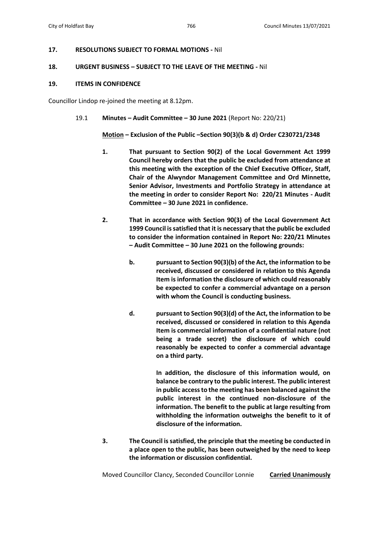## **17. RESOLUTIONS SUBJECT TO FORMAL MOTIONS -** Nil

### **18. URGENT BUSINESS – SUBJECT TO THE LEAVE OF THE MEETING -** Nil

### **19. ITEMS IN CONFIDENCE**

Councillor Lindop re-joined the meeting at 8.12pm.

### 19.1 **Minutes – Audit Committee – 30 June 2021** (Report No: 220/21)

**Motion – Exclusion of the Public –Section 90(3)(b & d) Order C230721/2348**

- **1. That pursuant to Section 90(2) of the Local Government Act 1999 Council hereby orders that the public be excluded from attendance at this meeting with the exception of the Chief Executive Officer, Staff, Chair of the Alwyndor Management Committee and Ord Minnette, Senior Advisor, Investments and Portfolio Strategy in attendance at the meeting in order to consider Report No: 220/21 Minutes - Audit Committee – 30 June 2021 in confidence.**
- **2. That in accordance with Section 90(3) of the Local Government Act 1999 Council is satisfied that it is necessary that the public be excluded to consider the information contained in Report No: 220/21 Minutes – Audit Committee – 30 June 2021 on the following grounds:**
	- **b. pursuant to Section 90(3)(b) of the Act, the information to be received, discussed or considered in relation to this Agenda Item is information the disclosure of which could reasonably be expected to confer a commercial advantage on a person with whom the Council is conducting business.**
	- **d. pursuant to Section 90(3)(d) of the Act, the information to be received, discussed or considered in relation to this Agenda Item is commercial information of a confidential nature (not being a trade secret) the disclosure of which could reasonably be expected to confer a commercial advantage on a third party.**

**In addition, the disclosure of this information would, on balance be contrary to the public interest. The public interest in public access to the meeting has been balanced against the public interest in the continued non-disclosure of the information. The benefit to the public at large resulting from withholding the information outweighs the benefit to it of disclosure of the information.**

**3. The Council is satisfied, the principle that the meeting be conducted in a place open to the public, has been outweighed by the need to keep the information or discussion confidential.**

Moved Councillor Clancy, Seconded Councillor Lonnie **Carried Unanimously**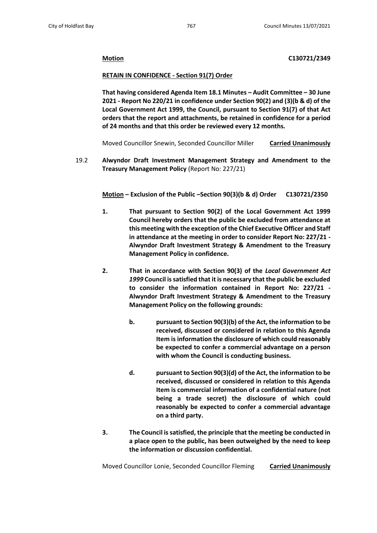## **Motion C130721/2349**

## **RETAIN IN CONFIDENCE - Section 91(7) Order**

**That having considered Agenda Item 18.1 Minutes – Audit Committee – 30 June 2021 - Report No 220/21 in confidence under Section 90(2) and (3)(b & d) of the Local Government Act 1999, the Council, pursuant to Section 91(7) of that Act orders that the report and attachments, be retained in confidence for a period of 24 months and that this order be reviewed every 12 months.**

Moved Councillor Snewin, Seconded Councillor Miller **Carried Unanimously**

19.2 **Alwyndor Draft Investment Management Strategy and Amendment to the Treasury Management Policy** (Report No: 227/21)

**Motion – Exclusion of the Public –Section 90(3)(b & d) Order C130721/2350**

- **1. That pursuant to Section 90(2) of the Local Government Act 1999 Council hereby orders that the public be excluded from attendance at this meeting with the exception of the Chief Executive Officer and Staff in attendance at the meeting in order to consider Report No: 227/21 - Alwyndor Draft Investment Strategy & Amendment to the Treasury Management Policy in confidence.**
- **2. That in accordance with Section 90(3) of the** *Local Government Act 1999* **Council is satisfied that it is necessary that the public be excluded to consider the information contained in Report No: 227/21 - Alwyndor Draft Investment Strategy & Amendment to the Treasury Management Policy on the following grounds:**
	- **b. pursuant to Section 90(3)(b) of the Act, the information to be received, discussed or considered in relation to this Agenda Item is information the disclosure of which could reasonably be expected to confer a commercial advantage on a person with whom the Council is conducting business.**
	- **d. pursuant to Section 90(3)(d) of the Act, the information to be received, discussed or considered in relation to this Agenda Item is commercial information of a confidential nature (not being a trade secret) the disclosure of which could reasonably be expected to confer a commercial advantage on a third party.**
- **3. The Council is satisfied, the principle that the meeting be conducted in a place open to the public, has been outweighed by the need to keep the information or discussion confidential.**

Moved Councillor Lonie, Seconded Councillor Fleming **Carried Unanimously**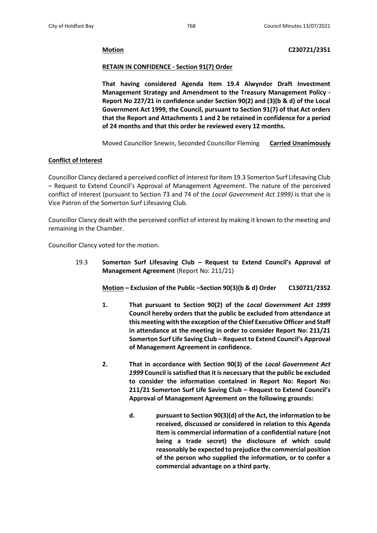**Motion C230721/2351**

## **RETAIN IN CONFIDENCE - Section 91(7) Order**

**That having considered Agenda Item 19.4 Alwyndor Draft Investment Management Strategy and Amendment to the Treasury Management Policy - Report No 227/21 in confidence under Section 90(2) and (3)(b & d) of the Local Government Act 1999, the Council, pursuant to Section 91(7) of that Act orders that the Report and Attachments 1 and 2 be retained in confidence for a period of 24 months and that this order be reviewed every 12 months.**

Moved Councillor Snewin, Seconded Councillor Fleming **Carried Unanimously**

## **Conflict of Interest**

Councillor Clancy declared a perceived conflict of interest for Item 19.3 Somerton Surf Lifesaving Club – Request to Extend Council's Approval of Management Agreement. The nature of the perceived conflict of interest (pursuant to Section 73 and 74 of the *Local Government Act 1999)* is that she is Vice Patron of the Somerton Surf Lifesaving Club.

Councillor Clancy dealt with the perceived conflict of interest by making it known to the meeting and remaining in the Chamber.

Councillor Clancy voted for the motion.

19.3 **Somerton Surf Lifesaving Club – Request to Extend Council's Approval of Management Agreement** (Report No: 211/21)

**Motion – Exclusion of the Public –Section 90(3)(b & d) Order C130721/2352**

- **1. That pursuant to Section 90(2) of the** *Local Government Act 1999* **Council hereby orders that the public be excluded from attendance at this meeting with the exception of the Chief Executive Officer and Staff in attendance at the meeting in order to consider Report No: 211/21 Somerton Surf Life Saving Club – Request to Extend Council's Approval of Management Agreement in confidence.**
- **2. That in accordance with Section 90(3) of the** *Local Government Act 1999* **Council is satisfied that it is necessary that the public be excluded to consider the information contained in Report No: Report No: 211/21 Somerton Surf Life Saving Club – Request to Extend Council's Approval of Management Agreement on the following grounds:**
	- **d. pursuant to Section 90(3)(d) of the Act, the information to be received, discussed or considered in relation to this Agenda Item is commercial information of a confidential nature (not being a trade secret) the disclosure of which could reasonably be expected to prejudice the commercial position of the person who supplied the information, or to confer a commercial advantage on a third party.**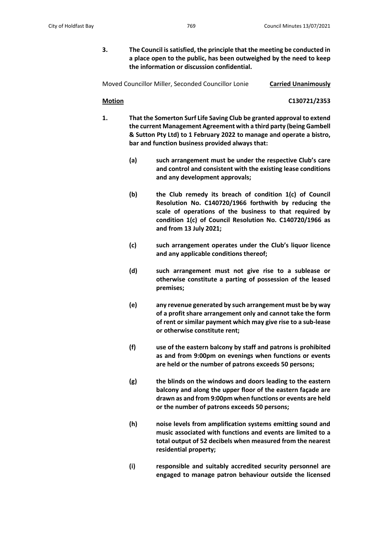**3. The Council is satisfied, the principle that the meeting be conducted in a place open to the public, has been outweighed by the need to keep the information or discussion confidential.**

Moved Councillor Miller, Seconded Councillor Lonie **Carried Unanimously**

**Motion C130721/2353**

- **1. That the Somerton Surf Life Saving Club be granted approval to extend the current Management Agreement with a third party (being Gambell & Sutton Pty Ltd) to 1 February 2022 to manage and operate a bistro, bar and function business provided always that:**
	- **(a) such arrangement must be under the respective Club's care and control and consistent with the existing lease conditions and any development approvals;**
	- **(b) the Club remedy its breach of condition 1(c) of Council Resolution No. C140720/1966 forthwith by reducing the scale of operations of the business to that required by condition 1(c) of Council Resolution No. C140720/1966 as and from 13 July 2021;**
	- **(c) such arrangement operates under the Club's liquor licence and any applicable conditions thereof;**
	- **(d) such arrangement must not give rise to a sublease or otherwise constitute a parting of possession of the leased premises;**
	- **(e) any revenue generated by such arrangement must be by way of a profit share arrangement only and cannot take the form of rent or similar payment which may give rise to a sub-lease or otherwise constitute rent;**
	- **(f) use of the eastern balcony by staff and patrons is prohibited as and from 9:00pm on evenings when functions or events are held or the number of patrons exceeds 50 persons;**
	- **(g) the blinds on the windows and doors leading to the eastern balcony and along the upper floor of the eastern façade are drawn as and from 9:00pm when functions or events are held or the number of patrons exceeds 50 persons;**
	- **(h) noise levels from amplification systems emitting sound and music associated with functions and events are limited to a total output of 52 decibels when measured from the nearest residential property;**
	- **(i) responsible and suitably accredited security personnel are engaged to manage patron behaviour outside the licensed**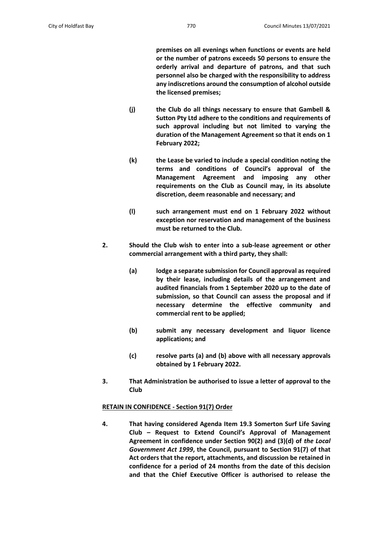**premises on all evenings when functions or events are held or the number of patrons exceeds 50 persons to ensure the orderly arrival and departure of patrons, and that such personnel also be charged with the responsibility to address any indiscretions around the consumption of alcohol outside the licensed premises;**

- **(j) the Club do all things necessary to ensure that Gambell & Sutton Pty Ltd adhere to the conditions and requirements of such approval including but not limited to varying the duration of the Management Agreement so that it ends on 1 February 2022;**
- **(k) the Lease be varied to include a special condition noting the terms and conditions of Council's approval of the Management Agreement and imposing any other requirements on the Club as Council may, in its absolute discretion, deem reasonable and necessary; and**
- **(l) such arrangement must end on 1 February 2022 without exception nor reservation and management of the business must be returned to the Club.**
- **2. Should the Club wish to enter into a sub-lease agreement or other commercial arrangement with a third party, they shall:**
	- **(a) lodge a separate submission for Council approval as required by their lease, including details of the arrangement and audited financials from 1 September 2020 up to the date of submission, so that Council can assess the proposal and if necessary determine the effective community and commercial rent to be applied;**
	- **(b) submit any necessary development and liquor licence applications; and**
	- **(c) resolve parts (a) and (b) above with all necessary approvals obtained by 1 February 2022.**
- **3. That Administration be authorised to issue a letter of approval to the Club**

## **RETAIN IN CONFIDENCE - Section 91(7) Order**

**4. That having considered Agenda Item 19.3 Somerton Surf Life Saving Club – Request to Extend Council's Approval of Management Agreement in confidence under Section 90(2) and (3)(d) of** *the Local Government Act 1999***, the Council, pursuant to Section 91(7) of that Act orders that the report, attachments, and discussion be retained in confidence for a period of 24 months from the date of this decision and that the Chief Executive Officer is authorised to release the**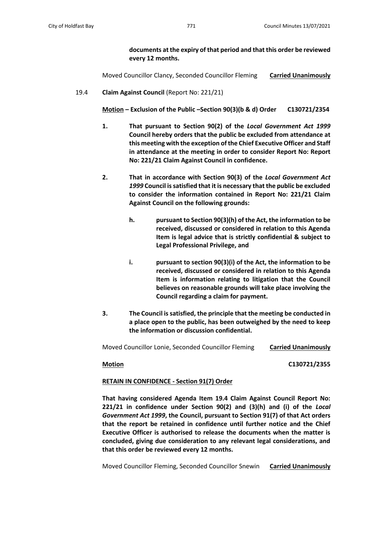**documents at the expiry of that period and that this order be reviewed every 12 months.**

Moved Councillor Clancy, Seconded Councillor Fleming **Carried Unanimously**

19.4 **Claim Against Council** (Report No: 221/21)

**Motion – Exclusion of the Public –Section 90(3)(b & d) Order C130721/2354**

- **1. That pursuant to Section 90(2) of the** *Local Government Act 1999* **Council hereby orders that the public be excluded from attendance at this meeting with the exception of the Chief Executive Officer and Staff in attendance at the meeting in order to consider Report No: Report No: 221/21 Claim Against Council in confidence.**
- **2. That in accordance with Section 90(3) of the** *Local Government Act 1999* **Council is satisfied that it is necessary that the public be excluded to consider the information contained in Report No: 221/21 Claim Against Council on the following grounds:**
	- **h. pursuant to Section 90(3)(h) of the Act, the information to be received, discussed or considered in relation to this Agenda Item is legal advice that is strictly confidential & subject to Legal Professional Privilege, and**
	- **i. pursuant to section 90(3)(i) of the Act, the information to be received, discussed or considered in relation to this Agenda Item is information relating to litigation that the Council believes on reasonable grounds will take place involving the Council regarding a claim for payment.**
- **3. The Council is satisfied, the principle that the meeting be conducted in a place open to the public, has been outweighed by the need to keep the information or discussion confidential.**

Moved Councillor Lonie, Seconded Councillor Fleming **Carried Unanimously**

**Motion C130721/2355**

## **RETAIN IN CONFIDENCE - Section 91(7) Order**

**That having considered Agenda Item 19.4 Claim Against Council Report No: 221/21 in confidence under Section 90(2) and (3)(h) and (i) of the** *Local Government Act 1999***, the Council, pursuant to Section 91(7) of that Act orders that the report be retained in confidence until further notice and the Chief Executive Officer is authorised to release the documents when the matter is concluded, giving due consideration to any relevant legal considerations, and that this order be reviewed every 12 months.**

Moved Councillor Fleming, Seconded Councillor Snewin **Carried Unanimously**